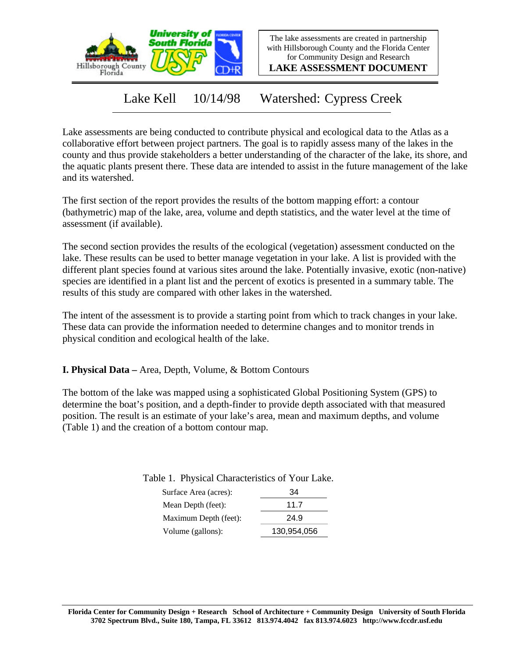

The lake assessments are created in partnership with Hillsborough County and the Florida Center for Community Design and Research

**LAKE ASSESSMENT DOCUMENT**

Lake Kell 10/14/98 Watershed: Cypress Creek

Lake assessments are being conducted to contribute physical and ecological data to the Atlas as a collaborative effort between project partners. The goal is to rapidly assess many of the lakes in the county and thus provide stakeholders a better understanding of the character of the lake, its shore, and the aquatic plants present there. These data are intended to assist in the future management of the lake and its watershed.

The first section of the report provides the results of the bottom mapping effort: a contour (bathymetric) map of the lake, area, volume and depth statistics, and the water level at the time of assessment (if available).

The second section provides the results of the ecological (vegetation) assessment conducted on the lake. These results can be used to better manage vegetation in your lake. A list is provided with the different plant species found at various sites around the lake. Potentially invasive, exotic (non-native) species are identified in a plant list and the percent of exotics is presented in a summary table. The results of this study are compared with other lakes in the watershed.

The intent of the assessment is to provide a starting point from which to track changes in your lake. These data can provide the information needed to determine changes and to monitor trends in physical condition and ecological health of the lake.

**I. Physical Data –** Area, Depth, Volume, & Bottom Contours

The bottom of the lake was mapped using a sophisticated Global Positioning System (GPS) to determine the boat's position, and a depth-finder to provide depth associated with that measured position. The result is an estimate of your lake's area, mean and maximum depths, and volume (Table 1) and the creation of a bottom contour map.

| Surface Area (acres): | 34          |
|-----------------------|-------------|
| Mean Depth (feet):    | 117         |
| Maximum Depth (feet): | 24.9        |
| Volume (gallons):     | 130,954,056 |

Table 1. Physical Characteristics of Your Lake.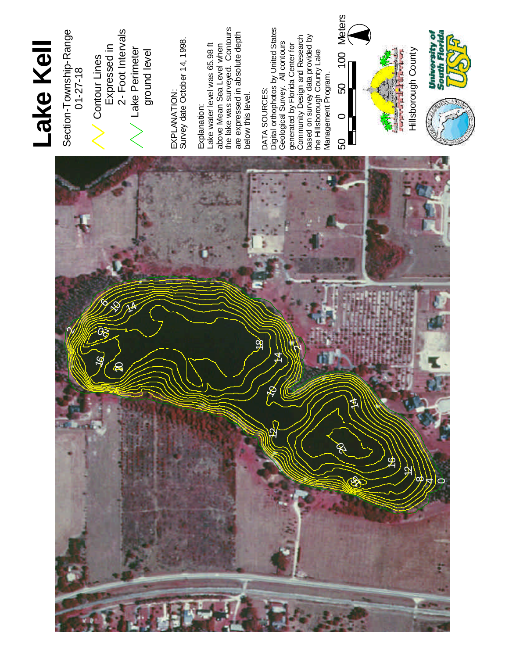

## **L a ke K e l l**

Section-Township-Range  $01 - 27 - 18$  Contour Lines Expressed in 2 - Foot Interv als L a k e Perimeter ground level

EXPLANATION: d a t e October 14, 1998. Explanation: water le vel w a s 6 5 . 9 8 f t M e a n S e a Level when was surveyed. Contours expressed in a b s olu t e d e p t h b elo w t his le vel.

DATA SOURCES:

DATA SOURCES:<br>Digital orthophotos by United States al Survey. All contours generated b y Flo rid a Center for m u nity D esig n a n d **Research** on surv ey d a t a provided b y the Hillsborough County Lake Management Program.

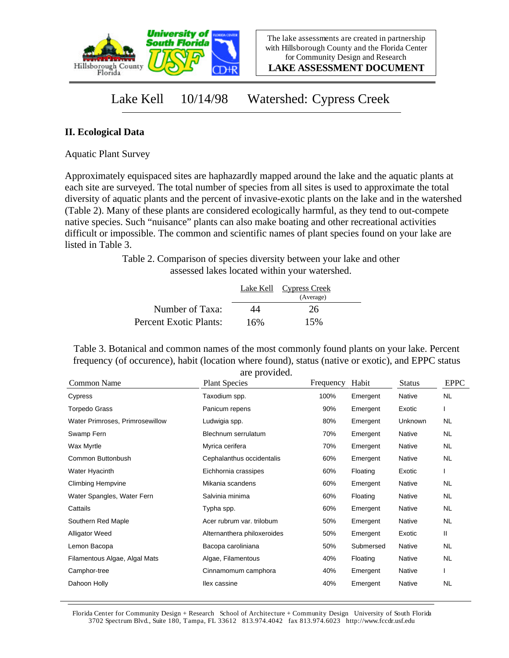

**LAKE ASSESSMENT DOCUMENT**

### Lake Kell 10/14/98 Watershed: Cypress Creek

### **II. Ecological Data**

Aquatic Plant Survey

Approximately equispaced sites are haphazardly mapped around the lake and the aquatic plants at each site are surveyed. The total number of species from all sites is used to approximate the total diversity of aquatic plants and the percent of invasive-exotic plants on the lake and in the watershed (Table 2). Many of these plants are considered ecologically harmful, as they tend to out-compete native species. Such "nuisance" plants can also make boating and other recreational activities difficult or impossible. The common and scientific names of plant species found on your lake are listed in Table 3.

> Table 2. Comparison of species diversity between your lake and other assessed lakes located within your watershed.

|                        |     | Lake Kell Cypress Creek |  |
|------------------------|-----|-------------------------|--|
|                        |     | (Average)               |  |
| Number of Taxa:        | 44  | 26                      |  |
| Percent Exotic Plants: | 16% | 15%                     |  |

Table 3. Botanical and common names of the most commonly found plants on your lake. Percent frequency (of occurence), habit (location where found), status (native or exotic), and EPPC status are provided.

| Common Name                     | <b>Plant Species</b>        | Frequency | Habit     | <b>Status</b> | <b>EPPC</b> |
|---------------------------------|-----------------------------|-----------|-----------|---------------|-------------|
| Cypress                         | Taxodium spp.               | 100%      | Emergent  | Native        | <b>NL</b>   |
| <b>Torpedo Grass</b>            | Panicum repens              | 90%       | Emergent  | Exotic        |             |
| Water Primroses, Primrosewillow | Ludwigia spp.               | 80%       | Emergent  | Unknown       | NL          |
| Swamp Fern                      | Blechnum serrulatum         | 70%       | Emergent  | Native        | NL.         |
| Wax Myrtle                      | Myrica cerifera             | 70%       | Emergent  | Native        | NL          |
| Common Buttonbush               | Cephalanthus occidentalis   | 60%       | Emergent  | Native        | <b>NL</b>   |
| Water Hyacinth                  | Eichhornia crassipes        | 60%       | Floating  | Exotic        |             |
| <b>Climbing Hempvine</b>        | Mikania scandens            | 60%       | Emergent  | Native        | <b>NL</b>   |
| Water Spangles, Water Fern      | Salvinia minima             | 60%       | Floating  | Native        | NL          |
| Cattails                        | Typha spp.                  | 60%       | Emergent  | Native        | <b>NL</b>   |
| Southern Red Maple              | Acer rubrum var. trilobum   | 50%       | Emergent  | Native        | <b>NL</b>   |
| <b>Alligator Weed</b>           | Alternanthera philoxeroides | 50%       | Emergent  | Exotic        | Ш           |
| Lemon Bacopa                    | Bacopa caroliniana          | 50%       | Submersed | Native        | <b>NL</b>   |
| Filamentous Algae, Algal Mats   | Algae, Filamentous          | 40%       | Floating  | Native        | NL          |
| Camphor-tree                    | Cinnamomum camphora         | 40%       | Emergent  | Native        |             |
| Dahoon Holly                    | llex cassine                | 40%       | Emergent  | Native        | <b>NL</b>   |

Florida Center for Community Design + Research School of Architecture + Community Design University of South Florida 3702 Spectrum Blvd., Suite 180, Tampa, FL 33612 813.974.4042 fax 813.974.6023 http://www.fccdr.usf.edu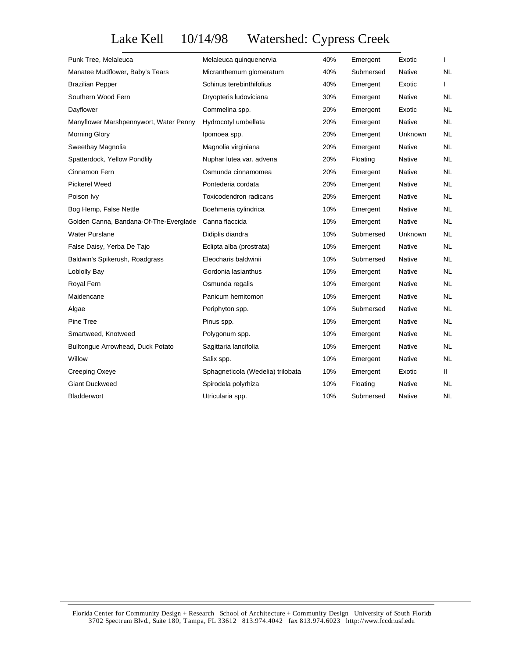# Lake Kell 10/14/98 Watershed: Cypress Creek

| Punk Tree, Melaleuca                   | Melaleuca quinquenervia           | 40% | Emergent  | Exotic  | L         |
|----------------------------------------|-----------------------------------|-----|-----------|---------|-----------|
| Manatee Mudflower, Baby's Tears        | Micranthemum glomeratum           | 40% | Submersed | Native  | <b>NL</b> |
| <b>Brazilian Pepper</b>                | Schinus terebinthifolius          | 40% | Emergent  | Exotic  | L         |
| Southern Wood Fern                     | Dryopteris ludoviciana            | 30% | Emergent  | Native  | NL.       |
| Dayflower                              | Commelina spp.                    | 20% | Emergent  | Exotic  | <b>NL</b> |
| Manyflower Marshpennywort, Water Penny | Hydrocotyl umbellata              | 20% | Emergent  | Native  | NL.       |
| <b>Morning Glory</b>                   | Ipomoea spp.                      | 20% | Emergent  | Unknown | <b>NL</b> |
| Sweetbay Magnolia                      | Magnolia virginiana               | 20% | Emergent  | Native  | <b>NL</b> |
| Spatterdock, Yellow Pondlily           | Nuphar lutea var. advena          | 20% | Floating  | Native  | <b>NL</b> |
| Cinnamon Fern                          | Osmunda cinnamomea                | 20% | Emergent  | Native  | NL.       |
| <b>Pickerel Weed</b>                   | Pontederia cordata                | 20% | Emergent  | Native  | <b>NL</b> |
| Poison Ivy                             | Toxicodendron radicans            | 20% | Emergent  | Native  | NL.       |
| Bog Hemp, False Nettle                 | Boehmeria cylindrica              | 10% | Emergent  | Native  | <b>NL</b> |
| Golden Canna, Bandana-Of-The-Everglade | Canna flaccida                    | 10% | Emergent  | Native  | NL.       |
| <b>Water Purslane</b>                  | Didiplis diandra                  | 10% | Submersed | Unknown | <b>NL</b> |
| False Daisy, Yerba De Tajo             | Eclipta alba (prostrata)          | 10% | Emergent  | Native  | NL.       |
| Baldwin's Spikerush, Roadgrass         | Eleocharis baldwinii              | 10% | Submersed | Native  | <b>NL</b> |
| Loblolly Bay                           | Gordonia lasianthus               | 10% | Emergent  | Native  | <b>NL</b> |
| Royal Fern                             | Osmunda regalis                   | 10% | Emergent  | Native  | <b>NL</b> |
| Maidencane                             | Panicum hemitomon                 | 10% | Emergent  | Native  | <b>NL</b> |
| Algae                                  | Periphyton spp.                   | 10% | Submersed | Native  | <b>NL</b> |
| Pine Tree                              | Pinus spp.                        | 10% | Emergent  | Native  | NL.       |
| Smartweed, Knotweed                    | Polygonum spp.                    | 10% | Emergent  | Native  | <b>NL</b> |
| Bulltongue Arrowhead, Duck Potato      | Sagittaria lancifolia             | 10% | Emergent  | Native  | <b>NL</b> |
| Willow                                 | Salix spp.                        | 10% | Emergent  | Native  | <b>NL</b> |
| Creeping Oxeye                         | Sphagneticola (Wedelia) trilobata | 10% | Emergent  | Exotic  | Ш         |
| <b>Giant Duckweed</b>                  | Spirodela polyrhiza               | 10% | Floating  | Native  | NL.       |
| <b>Bladderwort</b>                     | Utricularia spp.                  | 10% | Submersed | Native  | <b>NL</b> |